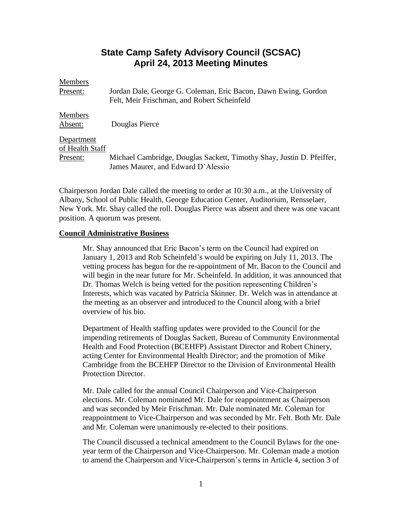# **State Camp Safety Advisory Council (SCSAC) April 24, 2013 Meeting Minutes**

| <b>Members</b>  |                                                                                                               |
|-----------------|---------------------------------------------------------------------------------------------------------------|
| Present:        | Jordan Dale, George G. Coleman, Eric Bacon, Dawn Ewing, Gordon<br>Felt, Meir Frischman, and Robert Scheinfeld |
|                 |                                                                                                               |
| Members         |                                                                                                               |
| Absent:         | Douglas Pierce                                                                                                |
| Department      |                                                                                                               |
| of Health Staff |                                                                                                               |
| Present:        | Michael Cambridge, Douglas Sackett, Timothy Shay, Justin D. Pfeiffer,                                         |
|                 | James Maurer, and Edward D'Alessio                                                                            |

Chairperson Jordan Dale called the meeting to order at 10:30 a.m., at the University of Albany, School of Public Health, George Education Center, Auditorium, Rensselaer, New York. Mr. Shay called the roll. Douglas Pierce was absent and there was one vacant position. A quorum was present.

## **Council Administrative Business**

Mr. Shay announced that Eric Bacon's term on the Council had expired on January 1, 2013 and Rob Scheinfeld's would be expiring on July 11, 2013. The vetting process has begun for the re-appointment of Mr. Bacon to the Council and will begin in the near future for Mr. Scheinfeld. In addition, it was announced that Dr. Thomas Welch is being vetted for the position representing Children's Interests, which was vacated by Patricia Skinner. Dr. Welch was in attendance at the meeting as an observer and introduced to the Council along with a brief overview of his bio.

Department of Health staffing updates were provided to the Council for the impending retirements of Douglas Sackett, Bureau of Community Environmental Health and Food Protection (BCEHFP) Assistant Director and Robert Chinery, acting Center for Environmental Health Director; and the promotion of Mike Cambridge from the BCEHFP Director to the Division of Environmental Health Protection Director.

Mr. Dale called for the annual Council Chairperson and Vice-Chairperson elections. Mr. Coleman nominated Mr. Dale for reappointment as Chairperson and was seconded by Meir Frischman. Mr. Dale nominated Mr. Coleman for reappointment to Vice-Chairperson and was seconded by Mr. Felt. Both Mr. Dale and Mr. Coleman were unanimously re-elected to their positions.

The Council discussed a technical amendment to the Council Bylaws for the oneyear term of the Chairperson and Vice-Chairperson. Mr. Coleman made a motion to amend the Chairperson and Vice-Chairperson's terms in Article 4, section 3 of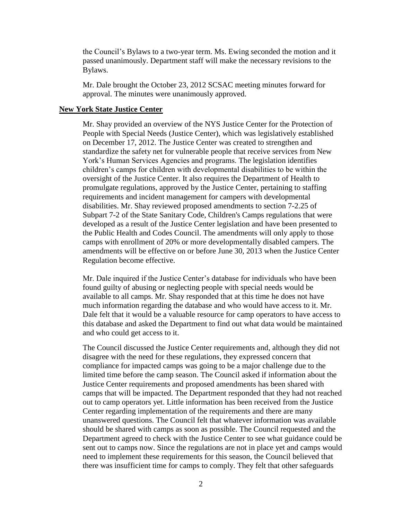the Council's Bylaws to a two-year term. Ms. Ewing seconded the motion and it passed unanimously. Department staff will make the necessary revisions to the Bylaws.

Mr. Dale brought the October 23, 2012 SCSAC meeting minutes forward for approval. The minutes were unanimously approved.

#### **New York State Justice Center**

Mr. Shay provided an overview of the NYS Justice Center for the Protection of People with Special Needs (Justice Center), which was legislatively established on December 17, 2012. The Justice Center was created to strengthen and standardize the safety net for vulnerable people that receive services from New York's Human Services Agencies and programs. The legislation identifies children's camps for children with developmental disabilities to be within the oversight of the Justice Center. It also requires the Department of Health to promulgate regulations, approved by the Justice Center, pertaining to staffing requirements and incident management for campers with developmental disabilities. Mr. Shay reviewed proposed amendments to section 7-2.25 of Subpart 7-2 of the State Sanitary Code, Children's Camps regulations that were developed as a result of the Justice Center legislation and have been presented to the Public Health and Codes Council. The amendments will only apply to those camps with enrollment of 20% or more developmentally disabled campers. The amendments will be effective on or before June 30, 2013 when the Justice Center Regulation become effective.

Mr. Dale inquired if the Justice Center's database for individuals who have been found guilty of abusing or neglecting people with special needs would be available to all camps. Mr. Shay responded that at this time he does not have much information regarding the database and who would have access to it. Mr. Dale felt that it would be a valuable resource for camp operators to have access to this database and asked the Department to find out what data would be maintained and who could get access to it.

The Council discussed the Justice Center requirements and, although they did not disagree with the need for these regulations, they expressed concern that compliance for impacted camps was going to be a major challenge due to the limited time before the camp season. The Council asked if information about the Justice Center requirements and proposed amendments has been shared with camps that will be impacted. The Department responded that they had not reached out to camp operators yet. Little information has been received from the Justice Center regarding implementation of the requirements and there are many unanswered questions. The Council felt that whatever information was available should be shared with camps as soon as possible. The Council requested and the Department agreed to check with the Justice Center to see what guidance could be sent out to camps now. Since the regulations are not in place yet and camps would need to implement these requirements for this season, the Council believed that there was insufficient time for camps to comply. They felt that other safeguards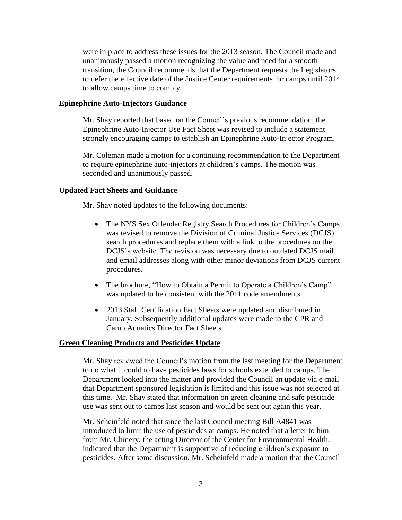were in place to address these issues for the 2013 season. The Council made and unanimously passed a motion recognizing the value and need for a smooth transition, the Council recommends that the Department requests the Legislators to defer the effective date of the Justice Center requirements for camps until 2014 to allow camps time to comply.

# **Epinephrine Auto-Injectors Guidance**

Mr. Shay reported that based on the Council's previous recommendation, the Epinephrine Auto-Injector Use Fact Sheet was revised to include a statement strongly encouraging camps to establish an Epinephrine Auto-Injector Program.

Mr. Coleman made a motion for a continuing recommendation to the Department to require epinephrine auto-injectors at children's camps. The motion was seconded and unanimously passed.

# **Updated Fact Sheets and Guidance**

Mr. Shay noted updates to the following documents:

- The NYS Sex Offender Registry Search Procedures for Children's Camps was revised to remove the Division of Criminal Justice Services (DCJS) search procedures and replace them with a link to the procedures on the DCJS's website. The revision was necessary due to outdated DCJS mail and email addresses along with other minor deviations from DCJS current procedures.
- The brochure, "How to Obtain a Permit to Operate a Children's Camp" was updated to be consistent with the 2011 code amendments.
- 2013 Staff Certification Fact Sheets were updated and distributed in January. Subsequently additional updates were made to the CPR and Camp Aquatics Director Fact Sheets.

# **Green Cleaning Products and Pesticides Update**

Mr. Shay reviewed the Council's motion from the last meeting for the Department to do what it could to have pesticides laws for schools extended to camps. The Department looked into the matter and provided the Council an update via e-mail that Department sponsored legislation is limited and this issue was not selected at this time. Mr. Shay stated that information on green cleaning and safe pesticide use was sent out to camps last season and would be sent out again this year.

Mr. Scheinfeld noted that since the last Council meeting Bill A4841 was introduced to limit the use of pesticides at camps. He noted that a letter to him from Mr. Chinery, the acting Director of the Center for Environmental Health, indicated that the Department is supportive of reducing children's exposure to pesticides. After some discussion, Mr. Scheinfeld made a motion that the Council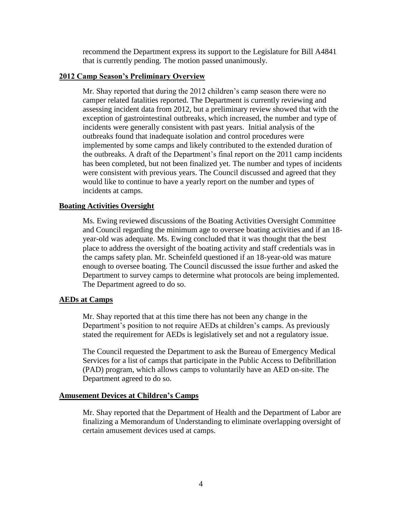recommend the Department express its support to the Legislature for Bill A4841 that is currently pending. The motion passed unanimously.

## **2012 Camp Season's Preliminary Overview**

Mr. Shay reported that during the 2012 children's camp season there were no camper related fatalities reported. The Department is currently reviewing and assessing incident data from 2012, but a preliminary review showed that with the exception of gastrointestinal outbreaks, which increased, the number and type of incidents were generally consistent with past years. Initial analysis of the outbreaks found that inadequate isolation and control procedures were implemented by some camps and likely contributed to the extended duration of the outbreaks. A draft of the Department's final report on the 2011 camp incidents has been completed, but not been finalized yet. The number and types of incidents were consistent with previous years. The Council discussed and agreed that they would like to continue to have a yearly report on the number and types of incidents at camps.

### **Boating Activities Oversight**

Ms. Ewing reviewed discussions of the Boating Activities Oversight Committee and Council regarding the minimum age to oversee boating activities and if an 18 year-old was adequate. Ms. Ewing concluded that it was thought that the best place to address the oversight of the boating activity and staff credentials was in the camps safety plan. Mr. Scheinfeld questioned if an 18-year-old was mature enough to oversee boating. The Council discussed the issue further and asked the Department to survey camps to determine what protocols are being implemented. The Department agreed to do so.

## **AEDs at Camps**

Mr. Shay reported that at this time there has not been any change in the Department's position to not require AEDs at children's camps. As previously stated the requirement for AEDs is legislatively set and not a regulatory issue.

The Council requested the Department to ask the Bureau of Emergency Medical Services for a list of camps that participate in the Public Access to Defibrillation (PAD) program, which allows camps to voluntarily have an AED on-site. The Department agreed to do so.

## **Amusement Devices at Children's Camps**

Mr. Shay reported that the Department of Health and the Department of Labor are finalizing a Memorandum of Understanding to eliminate overlapping oversight of certain amusement devices used at camps.